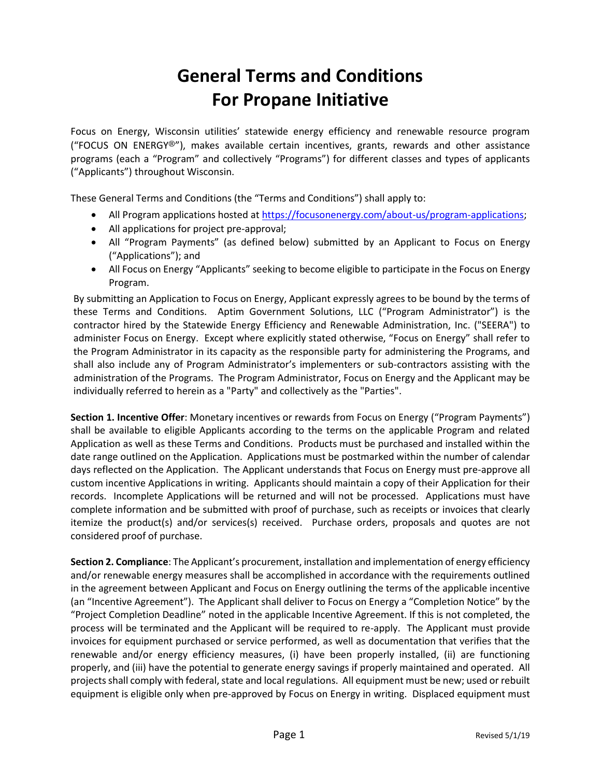## **General Terms and Conditions For Propane Initiative**

Focus on Energy, Wisconsin utilities' statewide energy efficiency and renewable resource program ("FOCUS ON ENERGY®"), makes available certain incentives, grants, rewards and other assistance programs (each a "Program" and collectively "Programs") for different classes and types of applicants ("Applicants") throughout Wisconsin.

These General Terms and Conditions (the "Terms and Conditions") shall apply to:

- All Program applications hosted at [https://focusonenergy.com/about-us/program-applications;](https://focusonenergy.com/about-us/program-applications)
- All applications for project pre-approval;
- All "Program Payments" (as defined below) submitted by an Applicant to Focus on Energy ("Applications"); and
- All Focus on Energy "Applicants" seeking to become eligible to participate in the Focus on Energy Program.

By submitting an Application to Focus on Energy, Applicant expressly agrees to be bound by the terms of these Terms and Conditions. Aptim Government Solutions, LLC ("Program Administrator") is the contractor hired by the Statewide Energy Efficiency and Renewable Administration, Inc. ("SEERA") to administer Focus on Energy. Except where explicitly stated otherwise, "Focus on Energy" shall refer to the Program Administrator in its capacity as the responsible party for administering the Programs, and shall also include any of Program Administrator's implementers or sub-contractors assisting with the administration of the Programs. The Program Administrator, Focus on Energy and the Applicant may be individually referred to herein as a "Party" and collectively as the "Parties".

**Section 1. Incentive Offer**: Monetary incentives or rewards from Focus on Energy ("Program Payments") shall be available to eligible Applicants according to the terms on the applicable Program and related Application as well as these Terms and Conditions. Products must be purchased and installed within the date range outlined on the Application. Applications must be postmarked within the number of calendar days reflected on the Application. The Applicant understands that Focus on Energy must pre-approve all custom incentive Applications in writing. Applicants should maintain a copy of their Application for their records. Incomplete Applications will be returned and will not be processed. Applications must have complete information and be submitted with proof of purchase, such as receipts or invoices that clearly itemize the product(s) and/or services(s) received. Purchase orders, proposals and quotes are not considered proof of purchase.

**Section 2. Compliance**: The Applicant's procurement, installation and implementation of energy efficiency and/or renewable energy measures shall be accomplished in accordance with the requirements outlined in the agreement between Applicant and Focus on Energy outlining the terms of the applicable incentive (an "Incentive Agreement"). The Applicant shall deliver to Focus on Energy a "Completion Notice" by the "Project Completion Deadline" noted in the applicable Incentive Agreement. If this is not completed, the process will be terminated and the Applicant will be required to re-apply. The Applicant must provide invoices for equipment purchased or service performed, as well as documentation that verifies that the renewable and/or energy efficiency measures, (i) have been properly installed, (ii) are functioning properly, and (iii) have the potential to generate energy savings if properly maintained and operated. All projects shall comply with federal, state and local regulations. All equipment must be new; used or rebuilt equipment is eligible only when pre-approved by Focus on Energy in writing. Displaced equipment must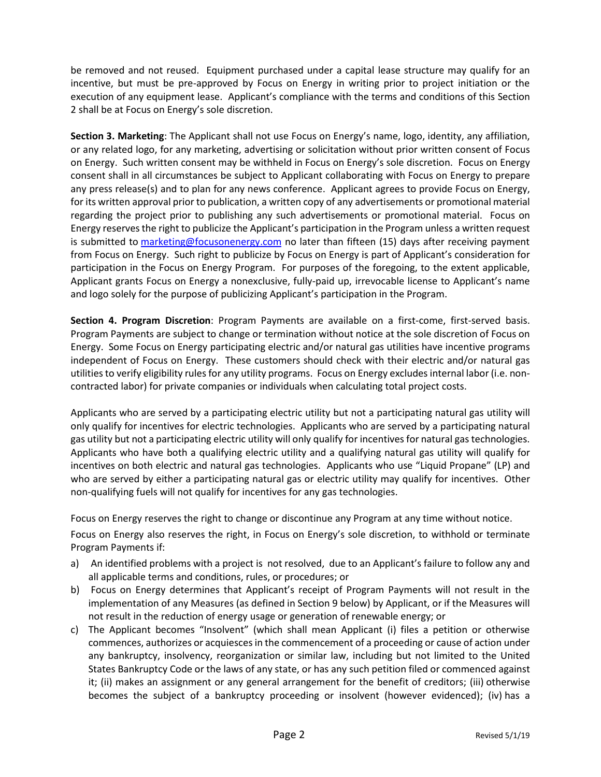be removed and not reused. Equipment purchased under a capital lease structure may qualify for an incentive, but must be pre-approved by Focus on Energy in writing prior to project initiation or the execution of any equipment lease. Applicant's compliance with the terms and conditions of this Section 2 shall be at Focus on Energy's sole discretion.

**Section 3. Marketing**: The Applicant shall not use Focus on Energy's name, logo, identity, any affiliation, or any related logo, for any marketing, advertising or solicitation without prior written consent of Focus on Energy. Such written consent may be withheld in Focus on Energy's sole discretion. Focus on Energy consent shall in all circumstances be subject to Applicant collaborating with Focus on Energy to prepare any press release(s) and to plan for any news conference. Applicant agrees to provide Focus on Energy, for its written approval prior to publication, a written copy of any advertisements or promotional material regarding the project prior to publishing any such advertisements or promotional material. Focus on Energy reserves the right to publicize the Applicant's participation in the Program unless a written request is submitted to [marketing@focusonenergy.com](mailto:marketing@focusonenergy.com) no later than fifteen (15) days after receiving payment from Focus on Energy. Such right to publicize by Focus on Energy is part of Applicant's consideration for participation in the Focus on Energy Program. For purposes of the foregoing, to the extent applicable, Applicant grants Focus on Energy a nonexclusive, fully-paid up, irrevocable license to Applicant's name and logo solely for the purpose of publicizing Applicant's participation in the Program.

**Section 4. Program Discretion**: Program Payments are available on a first-come, first-served basis. Program Payments are subject to change or termination without notice at the sole discretion of Focus on Energy. Some Focus on Energy participating electric and/or natural gas utilities have incentive programs independent of Focus on Energy. These customers should check with their electric and/or natural gas utilities to verify eligibility rules for any utility programs. Focus on Energy excludes internal labor (i.e. noncontracted labor) for private companies or individuals when calculating total project costs.

Applicants who are served by a participating electric utility but not a participating natural gas utility will only qualify for incentives for electric technologies. Applicants who are served by a participating natural gas utility but not a participating electric utility will only qualify for incentives for natural gas technologies. Applicants who have both a qualifying electric utility and a qualifying natural gas utility will qualify for incentives on both electric and natural gas technologies. Applicants who use "Liquid Propane" (LP) and who are served by either a participating natural gas or electric utility may qualify for incentives. Other non-qualifying fuels will not qualify for incentives for any gas technologies.

Focus on Energy reserves the right to change or discontinue any Program at any time without notice.

Focus on Energy also reserves the right, in Focus on Energy's sole discretion, to withhold or terminate Program Payments if:

- a) An identified problems with a project is not resolved, due to an Applicant's failure to follow any and all applicable terms and conditions, rules, or procedures; or
- b) Focus on Energy determines that Applicant's receipt of Program Payments will not result in the implementation of any Measures (as defined in Section 9 below) by Applicant, or if the Measures will not result in the reduction of energy usage or generation of renewable energy; or
- c) The Applicant becomes "Insolvent" (which shall mean Applicant (i) files a petition or otherwise commences, authorizes or acquiesces in the commencement of a proceeding or cause of action under any bankruptcy, insolvency, reorganization or similar law, including but not limited to the United States Bankruptcy Code or the laws of any state, or has any such petition filed or commenced against it; (ii) makes an assignment or any general arrangement for the benefit of creditors; (iii) otherwise becomes the subject of a bankruptcy proceeding or insolvent (however evidenced); (iv) has a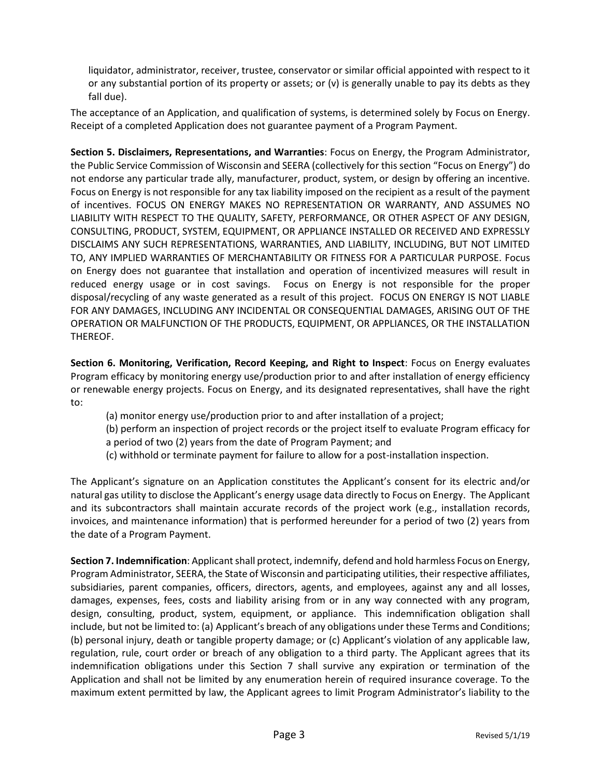liquidator, administrator, receiver, trustee, conservator or similar official appointed with respect to it or any substantial portion of its property or assets; or (v) is generally unable to pay its debts as they fall due).

The acceptance of an Application, and qualification of systems, is determined solely by Focus on Energy. Receipt of a completed Application does not guarantee payment of a Program Payment.

**Section 5. Disclaimers, Representations, and Warranties**: Focus on Energy, the Program Administrator, the Public Service Commission of Wisconsin and SEERA (collectively for this section "Focus on Energy") do not endorse any particular trade ally, manufacturer, product, system, or design by offering an incentive. Focus on Energy is not responsible for any tax liability imposed on the recipient as a result of the payment of incentives. FOCUS ON ENERGY MAKES NO REPRESENTATION OR WARRANTY, AND ASSUMES NO LIABILITY WITH RESPECT TO THE QUALITY, SAFETY, PERFORMANCE, OR OTHER ASPECT OF ANY DESIGN, CONSULTING, PRODUCT, SYSTEM, EQUIPMENT, OR APPLIANCE INSTALLED OR RECEIVED AND EXPRESSLY DISCLAIMS ANY SUCH REPRESENTATIONS, WARRANTIES, AND LIABILITY, INCLUDING, BUT NOT LIMITED TO, ANY IMPLIED WARRANTIES OF MERCHANTABILITY OR FITNESS FOR A PARTICULAR PURPOSE. Focus on Energy does not guarantee that installation and operation of incentivized measures will result in reduced energy usage or in cost savings. Focus on Energy is not responsible for the proper disposal/recycling of any waste generated as a result of this project. FOCUS ON ENERGY IS NOT LIABLE FOR ANY DAMAGES, INCLUDING ANY INCIDENTAL OR CONSEQUENTIAL DAMAGES, ARISING OUT OF THE OPERATION OR MALFUNCTION OF THE PRODUCTS, EQUIPMENT, OR APPLIANCES, OR THE INSTALLATION THEREOF.

**Section 6. Monitoring, Verification, Record Keeping, and Right to Inspect**: Focus on Energy evaluates Program efficacy by monitoring energy use/production prior to and after installation of energy efficiency or renewable energy projects. Focus on Energy, and its designated representatives, shall have the right to:

(a) monitor energy use/production prior to and after installation of a project;

(b) perform an inspection of project records or the project itself to evaluate Program efficacy for a period of two (2) years from the date of Program Payment; and

(c) withhold or terminate payment for failure to allow for a post-installation inspection.

The Applicant's signature on an Application constitutes the Applicant's consent for its electric and/or natural gas utility to disclose the Applicant's energy usage data directly to Focus on Energy. The Applicant and its subcontractors shall maintain accurate records of the project work (e.g., installation records, invoices, and maintenance information) that is performed hereunder for a period of two (2) years from the date of a Program Payment.

**Section 7. Indemnification**: Applicant shall protect, indemnify, defend and hold harmless Focus on Energy, Program Administrator, SEERA, the State of Wisconsin and participating utilities, their respective affiliates, subsidiaries, parent companies, officers, directors, agents, and employees, against any and all losses, damages, expenses, fees, costs and liability arising from or in any way connected with any program, design, consulting, product, system, equipment, or appliance. This indemnification obligation shall include, but not be limited to: (a) Applicant's breach of any obligations under these Terms and Conditions; (b) personal injury, death or tangible property damage; or (c) Applicant's violation of any applicable law, regulation, rule, court order or breach of any obligation to a third party. The Applicant agrees that its indemnification obligations under this Section 7 shall survive any expiration or termination of the Application and shall not be limited by any enumeration herein of required insurance coverage. To the maximum extent permitted by law, the Applicant agrees to limit Program Administrator's liability to the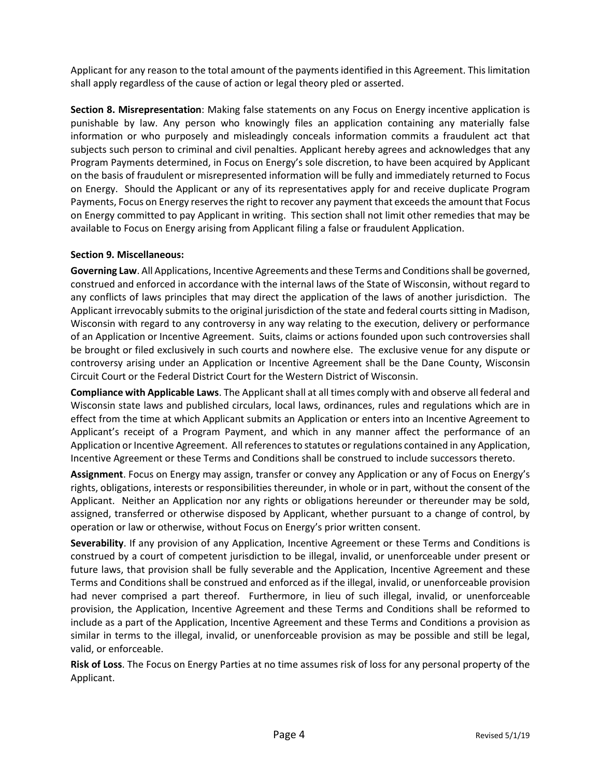Applicant for any reason to the total amount of the payments identified in this Agreement. This limitation shall apply regardless of the cause of action or legal theory pled or asserted.

**Section 8. Misrepresentation**: Making false statements on any Focus on Energy incentive application is punishable by law. Any person who knowingly files an application containing any materially false information or who purposely and misleadingly conceals information commits a fraudulent act that subjects such person to criminal and civil penalties. Applicant hereby agrees and acknowledges that any Program Payments determined, in Focus on Energy's sole discretion, to have been acquired by Applicant on the basis of fraudulent or misrepresented information will be fully and immediately returned to Focus on Energy. Should the Applicant or any of its representatives apply for and receive duplicate Program Payments, Focus on Energy reserves the right to recover any payment that exceeds the amount that Focus on Energy committed to pay Applicant in writing. This section shall not limit other remedies that may be available to Focus on Energy arising from Applicant filing a false or fraudulent Application.

## **Section 9. Miscellaneous:**

**Governing Law**. All Applications, Incentive Agreements and these Terms and Conditionsshall be governed, construed and enforced in accordance with the internal laws of the State of Wisconsin, without regard to any conflicts of laws principles that may direct the application of the laws of another jurisdiction. The Applicant irrevocably submits to the original jurisdiction of the state and federal courts sitting in Madison, Wisconsin with regard to any controversy in any way relating to the execution, delivery or performance of an Application or Incentive Agreement. Suits, claims or actions founded upon such controversies shall be brought or filed exclusively in such courts and nowhere else. The exclusive venue for any dispute or controversy arising under an Application or Incentive Agreement shall be the Dane County, Wisconsin Circuit Court or the Federal District Court for the Western District of Wisconsin.

**Compliance with Applicable Laws**. The Applicant shall at all times comply with and observe all federal and Wisconsin state laws and published circulars, local laws, ordinances, rules and regulations which are in effect from the time at which Applicant submits an Application or enters into an Incentive Agreement to Applicant's receipt of a Program Payment, and which in any manner affect the performance of an Application or Incentive Agreement. All references to statutes or regulations contained in any Application, Incentive Agreement or these Terms and Conditions shall be construed to include successors thereto.

**Assignment**. Focus on Energy may assign, transfer or convey any Application or any of Focus on Energy's rights, obligations, interests or responsibilities thereunder, in whole or in part, without the consent of the Applicant. Neither an Application nor any rights or obligations hereunder or thereunder may be sold, assigned, transferred or otherwise disposed by Applicant, whether pursuant to a change of control, by operation or law or otherwise, without Focus on Energy's prior written consent.

**Severability**. If any provision of any Application, Incentive Agreement or these Terms and Conditions is construed by a court of competent jurisdiction to be illegal, invalid, or unenforceable under present or future laws, that provision shall be fully severable and the Application, Incentive Agreement and these Terms and Conditions shall be construed and enforced as if the illegal, invalid, or unenforceable provision had never comprised a part thereof. Furthermore, in lieu of such illegal, invalid, or unenforceable provision, the Application, Incentive Agreement and these Terms and Conditions shall be reformed to include as a part of the Application, Incentive Agreement and these Terms and Conditions a provision as similar in terms to the illegal, invalid, or unenforceable provision as may be possible and still be legal, valid, or enforceable.

**Risk of Loss**. The Focus on Energy Parties at no time assumes risk of loss for any personal property of the Applicant.